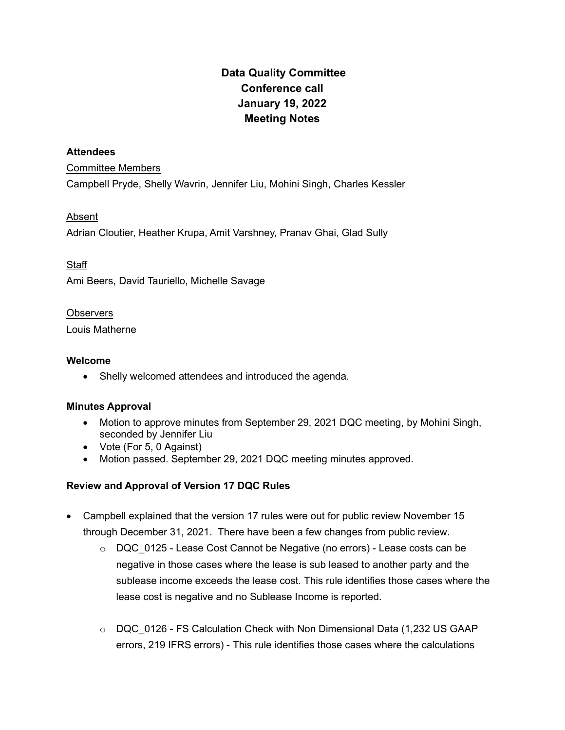# Data Quality Committee Conference call January 19, 2022 Meeting Notes

#### **Attendees**

#### Committee Members

Campbell Pryde, Shelly Wavrin, Jennifer Liu, Mohini Singh, Charles Kessler

# Absent

Adrian Cloutier, Heather Krupa, Amit Varshney, Pranav Ghai, Glad Sully

# **Staff**

Ami Beers, David Tauriello, Michelle Savage

### **Observers**

Louis Matherne

## Welcome

• Shelly welcomed attendees and introduced the agenda.

# Minutes Approval

- Motion to approve minutes from September 29, 2021 DQC meeting, by Mohini Singh, seconded by Jennifer Liu
- Vote (For 5, 0 Against)
- Motion passed. September 29, 2021 DQC meeting minutes approved.

# Review and Approval of Version 17 DQC Rules

- Campbell explained that the version 17 rules were out for public review November 15 through December 31, 2021. There have been a few changes from public review.
	- $\circ$  DQC 0125 Lease Cost Cannot be Negative (no errors) Lease costs can be negative in those cases where the lease is sub leased to another party and the sublease income exceeds the lease cost. This rule identifies those cases where the lease cost is negative and no Sublease Income is reported.
	- o DQC 0126 FS Calculation Check with Non Dimensional Data (1,232 US GAAP errors, 219 IFRS errors) - This rule identifies those cases where the calculations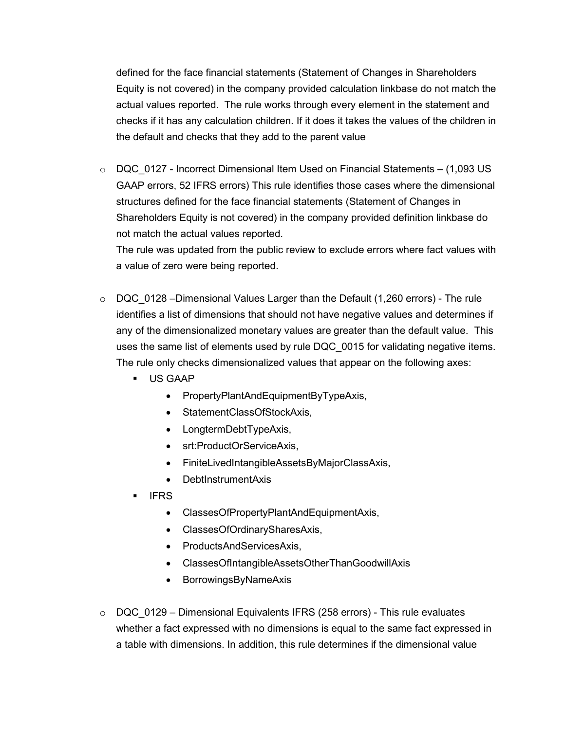defined for the face financial statements (Statement of Changes in Shareholders Equity is not covered) in the company provided calculation linkbase do not match the actual values reported. The rule works through every element in the statement and checks if it has any calculation children. If it does it takes the values of the children in the default and checks that they add to the parent value

 $\circ$  DQC 0127 - Incorrect Dimensional Item Used on Financial Statements – (1,093 US GAAP errors, 52 IFRS errors) This rule identifies those cases where the dimensional structures defined for the face financial statements (Statement of Changes in Shareholders Equity is not covered) in the company provided definition linkbase do not match the actual values reported.

The rule was updated from the public review to exclude errors where fact values with a value of zero were being reported.

- $\circ$  DQC 0128 –Dimensional Values Larger than the Default (1,260 errors) The rule identifies a list of dimensions that should not have negative values and determines if any of the dimensionalized monetary values are greater than the default value. This uses the same list of elements used by rule DQC 0015 for validating negative items. The rule only checks dimensionalized values that appear on the following axes:
	- US GAAP
		- PropertyPlantAndEquipmentByTypeAxis,
		- StatementClassOfStockAxis,
		- LongtermDebtTypeAxis,
		- srt:ProductOrServiceAxis,
		- FiniteLivedIntangibleAssetsByMajorClassAxis,
		- DebtInstrumentAxis
	- IFRS
		- ClassesOfPropertyPlantAndEquipmentAxis,
		- ClassesOfOrdinarySharesAxis,
		- ProductsAndServicesAxis,
		- ClassesOfIntangibleAssetsOtherThanGoodwillAxis
		- BorrowingsByNameAxis
- o DQC\_0129 Dimensional Equivalents IFRS (258 errors) This rule evaluates whether a fact expressed with no dimensions is equal to the same fact expressed in a table with dimensions. In addition, this rule determines if the dimensional value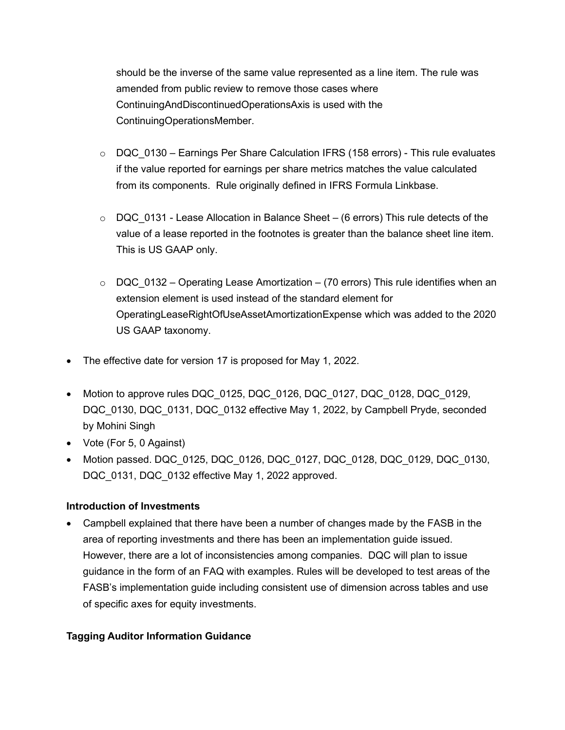should be the inverse of the same value represented as a line item. The rule was amended from public review to remove those cases where ContinuingAndDiscontinuedOperationsAxis is used with the ContinuingOperationsMember.

- $\circ$  DQC 0130 Earnings Per Share Calculation IFRS (158 errors) This rule evaluates if the value reported for earnings per share metrics matches the value calculated from its components. Rule originally defined in IFRS Formula Linkbase.
- $\circ$  DQC 0131 Lease Allocation in Balance Sheet (6 errors) This rule detects of the value of a lease reported in the footnotes is greater than the balance sheet line item. This is US GAAP only.
- $\circ$  DQC 0132 Operating Lease Amortization (70 errors) This rule identifies when an extension element is used instead of the standard element for OperatingLeaseRightOfUseAssetAmortizationExpense which was added to the 2020 US GAAP taxonomy.
- The effective date for version 17 is proposed for May 1, 2022.
- Motion to approve rules DQC\_0125, DQC\_0126, DQC\_0127, DQC\_0128, DQC\_0129, DQC\_0130, DQC\_0131, DQC\_0132 effective May 1, 2022, by Campbell Pryde, seconded by Mohini Singh
- Vote (For 5, 0 Against)
- Motion passed. DQC\_0125, DQC\_0126, DQC\_0127, DQC\_0128, DQC\_0129, DQC\_0130, DQC 0131, DQC 0132 effective May 1, 2022 approved.

# Introduction of Investments

 Campbell explained that there have been a number of changes made by the FASB in the area of reporting investments and there has been an implementation guide issued. However, there are a lot of inconsistencies among companies. DQC will plan to issue guidance in the form of an FAQ with examples. Rules will be developed to test areas of the FASB's implementation guide including consistent use of dimension across tables and use of specific axes for equity investments.

# Tagging Auditor Information Guidance